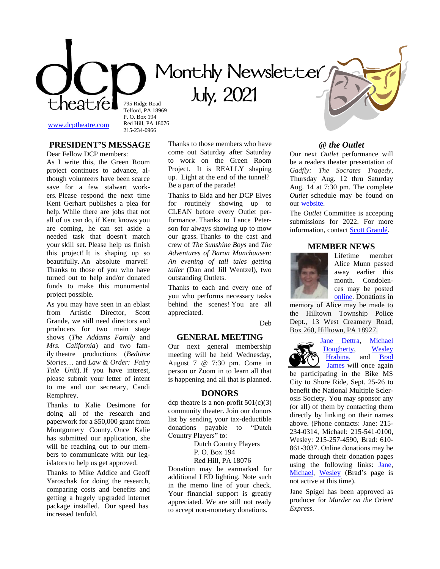**Monthly Newsletter**

 **July, 2021**

[www.dcptheatre.com](http://www.dcptheatre.com/)

215-234-0966

795 Ridge Road Telford, PA 18969 P. O. Box 194 Red Hill, PA 18076

# **PRESIDENT'S MESSAGE**

Dear Fellow DCP members: As I write this, the Green Room project continues to advance, although volunteers have been scarce save for a few stalwart workers. Please respond the next time Kent Gerhart publishes a plea for help. While there are jobs that not all of us can do, if Kent knows you are coming, he can set aside a needed task that doesn't match your skill set. Please help us finish this project! It is shaping up so beautifully. An absolute marvel! Thanks to those of you who have turned out to help and/or donated funds to make this monumental project possible.

As you may have seen in an eblast from Artistic Director, Scott Grande, we still need directors and producers for two main stage shows (*The Addams Family* and *Mrs. California*) and two family theatre productions (*Bedtime Stories*… and *Law & Order: Fairy Tale Unit*). If you have interest, please submit your letter of intent to me and our secretary, Candi Remphrey.

Thanks to Kalie Desimone for doing all of the research and paperwork for a \$50,000 grant from Montgomery County. Once Kalie has submitted our application, she will be reaching out to our members to communicate with our legislators to help us get approved.

Thanks to Mike Addice and Geoff Yaroschak for doing the research, comparing costs and benefits and getting a hugely upgraded internet package installed. Our speed has increased tenfold.

Thanks to those members who have come out Saturday after Saturday to work on the Green Room Project. It is REALLY shaping up. Light at the end of the tunnel? Be a part of the parade!

Thanks to Elda and her DCP Elves for routinely showing up to CLEAN before every Outlet performance. Thanks to Lance Peterson for always showing up to mow our grass. Thanks to the cast and crew of *The Sunshine Boys* and *The Adventures of Baron Munchausen: An evening of tall tales getting taller* (Dan and Jill Wentzel), two outstanding Outlets.

Thanks to each and every one of you who performs necessary tasks behind the scenes! You are all appreciated.

Deb

#### **GENERAL MEETING**

Our next general membership meeting will be held Wednesday, August 7 @ 7:30 pm. Come in person or Zoom in to learn all that is happening and all that is planned.

## **DONORS**

dcp theatre is a non-profit  $501(c)(3)$ community theater. Join our donors list by sending your tax-deductible donations payable to "Dutch Country Players" to:

> Dutch Country Players P. O. Box 194

Red Hill, PA 18076

Donation may be earmarked for additional LED lighting. Note such in the memo line of your check. Your financial support is greatly appreciated. We are still not ready to accept non-monetary donations.

## **@** *the Outlet*

Our next *Outlet* performance will be a readers theater presentation of *Gadfly: The Socrates Tragedy*, Thursday Aug. 12 thru Saturday Aug. 14 at 7:30 pm. The complete *Outlet* schedule may be found on our [website.](https://www.dcptheatre.com/the-outlet)

The *Outlet* Committee is accepting submissions for 2022. For more information, contact [Scott Grandé.](mailto:ad@dcptheatre.com)

#### **MEMBER NEWS**



Lifetime member Alice Munn passed away earlier this month. Condolences may be posted [online.](https://www.echovita.com/us/obituaries/pa/sellersville/alice-j-munn-13016052) Donations in

memory of Alice may be made to the Hilltown Township Police Dept., 13 West Creamery Road, Box 260, Hilltown, PA 18927.



Jane [Dettra,](mailto:jdettra@griffinmail.com) [Michael](mailto:saldoc88@comcast.net)  [Dougherty,](mailto:saldoc88@comcast.net) [Wesley](mailto:gearsandgreasepaint@verizon.net) [Hrabina,](mailto:gearsandgreasepaint@verizon.net) and [Brad](mailto:thebaron@enter.net)  [James](mailto:thebaron@enter.net) will once again

be participating in the Bike MS City to Shore Ride, Sept. 25-26 to benefit the National Multiple Sclerosis Society. You may sponsor any (or all) of them by contacting them directly by linking on their names above. (Phone contacts: Jane: 215- 234-0314, Michael: 215-541-0100, Wesley: 215-257-4590, Brad: 610- 861-3037. Online donations may be made through their donation pages using the following links: [Jane,](https://mssociety.donordrive.com/index.cfm?fuseaction=donorDrive.participant&participantID=35249) [Michael,](https://mssociety.donordrive.com/index.cfm?fuseaction=donorDrive.participant&participantID=39142) [Wesley](https://mssociety.donordrive.com/index.cfm?fuseaction=donorDrive.participant&participantID=48289) (Brad's page is not active at this time).

Jane Spigel has been approved as producer for *Murder on the Orient Express*.